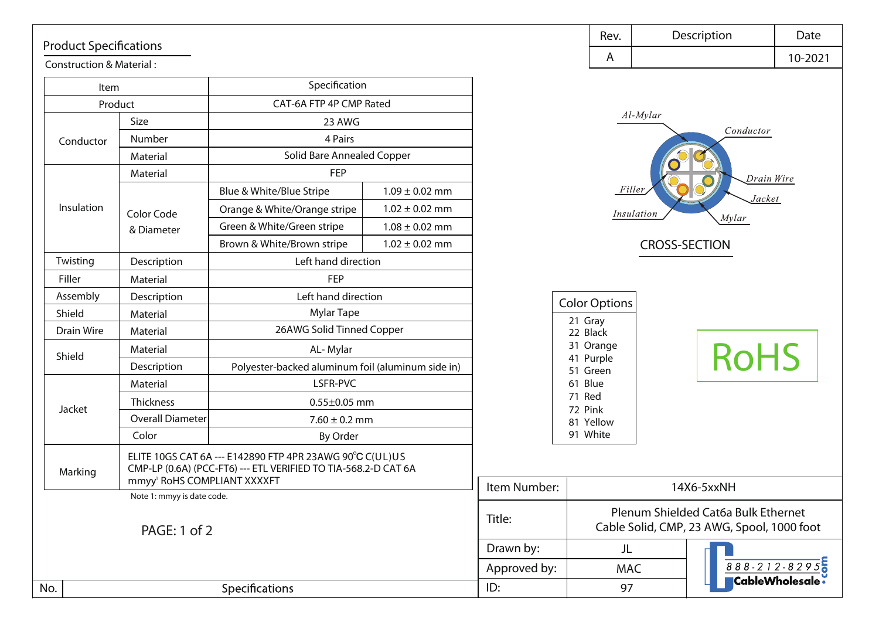## Product Specifications

Construction & Material :

| Item              |                                         | Specification                                                                                                              |                    |                       |                      |
|-------------------|-----------------------------------------|----------------------------------------------------------------------------------------------------------------------------|--------------------|-----------------------|----------------------|
| Product           |                                         | CAT-6A FTP 4P CMP Rated                                                                                                    |                    |                       |                      |
|                   | Size                                    | 23 AWG                                                                                                                     |                    |                       | $Al-Mvi$             |
| Conductor         | Number                                  | 4 Pairs                                                                                                                    |                    |                       |                      |
|                   | Material                                | Solid Bare Annealed Copper                                                                                                 |                    |                       |                      |
|                   | Material                                | <b>FEP</b>                                                                                                                 |                    |                       |                      |
|                   |                                         | Blue & White/Blue Stripe                                                                                                   | $1.09 \pm 0.02$ mm |                       | Filler               |
| Insulation        | Color Code                              | Orange & White/Orange stripe                                                                                               | $1.02 \pm 0.02$ mm |                       | Insulatio            |
|                   | & Diameter                              | Green & White/Green stripe                                                                                                 | $1.08 \pm 0.02$ mm |                       |                      |
|                   |                                         | Brown & White/Brown stripe                                                                                                 | $1.02 \pm 0.02$ mm |                       | CI                   |
| Twisting          | Description                             | Left hand direction                                                                                                        |                    |                       |                      |
| Filler            | Material                                | <b>FEP</b>                                                                                                                 |                    |                       |                      |
| Assembly          | Description                             | Left hand direction                                                                                                        |                    |                       | <b>Color Options</b> |
| Shield            | Material                                | <b>Mylar Tape</b>                                                                                                          |                    |                       | 21 Gray              |
| <b>Drain Wire</b> | Material                                | 26AWG Solid Tinned Copper                                                                                                  |                    |                       | 22 Black             |
| Shield            | Material                                | AL-Mylar                                                                                                                   |                    | 31 Orange             |                      |
|                   | Description                             | Polyester-backed aluminum foil (aluminum side in)                                                                          |                    | 41 Purple<br>51 Green |                      |
|                   | Material                                | LSFR-PVC                                                                                                                   |                    |                       | 61 Blue              |
| Jacket            | Thickness                               | $0.55 \pm 0.05$ mm                                                                                                         |                    | 71 Red                |                      |
|                   | <b>Overall Diameter</b>                 | $7.60 \pm 0.2$ mm                                                                                                          |                    | 72 Pink<br>81 Yellow  |                      |
|                   | Color                                   | By Order                                                                                                                   |                    | 91 White              |                      |
| Marking           | mmyy <sup>1</sup> RoHS COMPLIANT XXXXFT | ELITE 10GS CAT 6A --- E142890 FTP 4PR 23AWG 90°C C(UL)US<br>CMP-LP (0.6A) (PCC-FT6) --- ETL VERIFIED TO TIA-568.2-D CAT 6A |                    |                       |                      |
|                   | Note 1: mmyy is date code.              |                                                                                                                            |                    | Item Number:          |                      |
| PAGE: 1 of 2      |                                         |                                                                                                                            | Title:             | Plenum<br>Cable Solic |                      |
|                   |                                         |                                                                                                                            |                    | Drawn by:             | JL                   |
|                   |                                         |                                                                                                                            |                    | Approved by:          | <b>MAC</b>           |
| No.               | Specifications                          |                                                                                                                            |                    | ID:                   | 97                   |

| Rev. | Description                                                                                                   | Date    |
|------|---------------------------------------------------------------------------------------------------------------|---------|
| A    |                                                                                                               | 10-2021 |
|      | Al-Mylar<br>Conductor<br>Drain Wire<br><b>Filler</b><br>Jacket<br>Insulation<br>Mylar<br><b>CROSS-SECTION</b> |         |

| <b>Color Options</b> |  |  |  |
|----------------------|--|--|--|
| 21 Gray              |  |  |  |
| 22 Black             |  |  |  |
| 31 Orange            |  |  |  |
| 41 Purple            |  |  |  |
| 51 Green             |  |  |  |
| 61 Blue              |  |  |  |
| 71 Red               |  |  |  |
| 72 Pink              |  |  |  |
| 81 Yellow            |  |  |  |
| 91 White             |  |  |  |

| Plenum Shielded Cat6a Bulk Ethernet<br>ble Solid, CMP, 23 AWG, Spool, 1000 foot |                       |  |  |  |  |
|---------------------------------------------------------------------------------|-----------------------|--|--|--|--|
| Л.                                                                              |                       |  |  |  |  |
| MAC                                                                             | 888-212-8295          |  |  |  |  |
|                                                                                 | <b>CableWholesale</b> |  |  |  |  |

RoHS

14X6-5xxNH